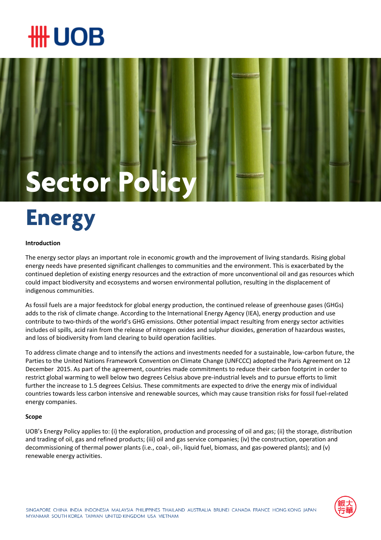### ₩ UOB

# Sector Po

### **Energy**

#### **Introduction**

The energy sector plays an important role in economic growth and the improvement of living standards. Rising global energy needs have presented significant challenges to communities and the environment. This is exacerbated by the continued depletion of existing energy resources and the extraction of more unconventional oil and gas resources which could impact biodiversity and ecosystems and worsen environmental pollution, resulting in the displacement of indigenous communities.

As fossil fuels are a major feedstock for global energy production, the continued release of greenhouse gases (GHGs) adds to the risk of climate change. According to the International Energy Agency (IEA), energy production and use contribute to two-thirds of the world's GHG emissions. Other potential impact resulting from energy sector activities includes oil spills, acid rain from the release of nitrogen oxides and sulphur dioxides, generation of hazardous wastes, and loss of biodiversity from land clearing to build operation facilities.

To address climate change and to intensify the actions and investments needed for a sustainable, low-carbon future, the Parties to the United Nations Framework Convention on Climate Change (UNFCCC) adopted the Paris Agreement on 12 December 2015. As part of the agreement, countries made commitments to reduce their carbon footprint in order to restrict global warming to well below two degrees Celsius above pre-industrial levels and to pursue efforts to limit further the increase to 1.5 degrees Celsius. These commitments are expected to drive the energy mix of individual countries towards less carbon intensive and renewable sources, which may cause transition risks for fossil fuel-related energy companies.

#### **Scope**

UOB's Energy Policy applies to: (i) the exploration, production and processing of oil and gas; (ii) the storage, distribution and trading of oil, gas and refined products; (iii) oil and gas service companies; (iv) the construction, operation and decommissioning of thermal power plants (i.e., coal-, oil-, liquid fuel, biomass, and gas-powered plants); and (v) renewable energy activities.

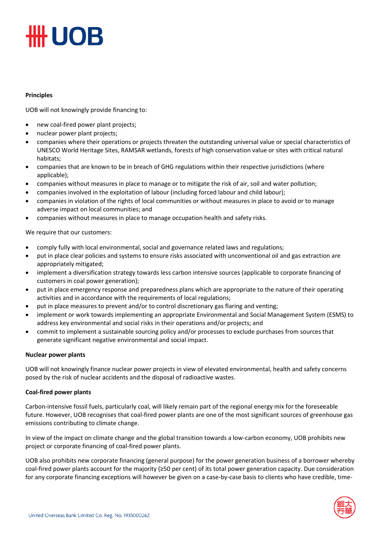# **#UOB**

#### **Principles**

UOB will not knowingly provide financing to:

- new coal-fired power plant projects;
- nuclear power plant projects;
- companies where their operations or projects threaten the outstanding universal value or special characteristics of UNESCO World Heritage Sites, RAMSAR wetlands, forests of high conservation value or sites with critical natural habitats;
- companies that are known to be in breach of GHG regulations within their respective jurisdictions (where applicable);
- companies without measures in place to manage or to mitigate the risk of air, soil and water pollution;
- companies involved in the exploitation of labour (including forced labour and child labour);
- companies in violation of the rights of local communities or without measures in place to avoid or to manage adverse impact on local communities; and
- companies without measures in place to manage occupation health and safety risks.

We require that our customers:

- comply fully with local environmental, social and governance related laws and regulations;
- put in place clear policies and systems to ensure risks associated with unconventional oil and gas extraction are appropriately mitigated;
- implement a diversification strategy towards less carbon intensive sources (applicable to corporate financing of customers in coal power generation);
- put in place emergency response and preparedness plans which are appropriate to the nature of their operating activities and in accordance with the requirements of local regulations;
- put in place measures to prevent and/or to control discretionary gas flaring and venting;
- implement or work towards implementing an appropriate Environmental and Social Management System (ESMS) to address key environmental and social risks in their operations and/or projects; and
- commit to implement a sustainable sourcing policy and/or processes to exclude purchases from sources that generate significant negative environmental and social impact.

#### **Nuclear power plants**

UOB will not knowingly finance nuclear power projects in view of elevated environmental, health and safety concerns posed by the risk of nuclear accidents and the disposal of radioactive wastes.

#### **Coal-fired power plants**

Carbon-intensive fossil fuels, particularly coal, will likely remain part of the regional energy mix for the foreseeable future. However, UOB recognises that coal-fired power plants are one of the most significant sources of greenhouse gas emissions contributing to climate change.

In view of the impact on climate change and the global transition towards a low-carbon economy, UOB prohibits new project or corporate financing of coal-fired power plants.

UOB also prohibits new corporate financing (general purpose) for the power generation business of a borrower whereby coal-fired power plants account for the majority (≥50 per cent) of its total power generation capacity. Due consideration for any corporate financing exceptions will however be given on a case-by-case basis to clients who have credible, time-